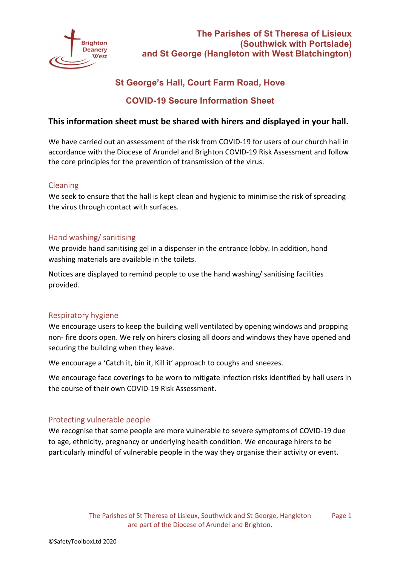

# **St George's Hall, Court Farm Road, Hove**

## **COVID-19 Secure Information Sheet**

## **This information sheet must be shared with hirers and displayed in your hall.**

We have carried out an assessment of the risk from COVID-19 for users of our church hall in accordance with the Diocese of Arundel and Brighton COVID-19 Risk Assessment and follow the core principles for the prevention of transmission of the virus.

## Cleaning

We seek to ensure that the hall is kept clean and hygienic to minimise the risk of spreading the virus through contact with surfaces.

### Hand washing/ sanitising

We provide hand sanitising gel in a dispenser in the entrance lobby. In addition, hand washing materials are available in the toilets.

Notices are displayed to remind people to use the hand washing/ sanitising facilities provided.

## Respiratory hygiene

We encourage users to keep the building well ventilated by opening windows and propping non- fire doors open. We rely on hirers closing all doors and windows they have opened and securing the building when they leave.

We encourage a 'Catch it, bin it, Kill it' approach to coughs and sneezes.

We encourage face coverings to be worn to mitigate infection risks identified by hall users in the course of their own COVID-19 Risk Assessment.

## Protecting vulnerable people

We recognise that some people are more vulnerable to severe symptoms of COVID-19 due to age, ethnicity, pregnancy or underlying health condition. We encourage hirers to be particularly mindful of vulnerable people in the way they organise their activity or event.